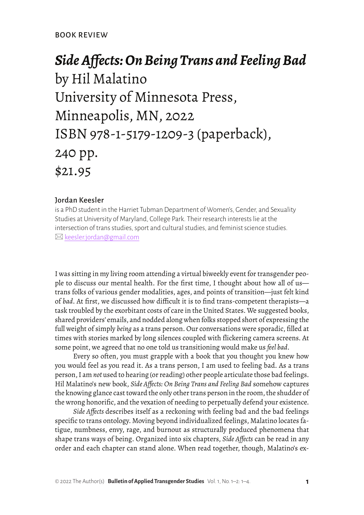## *Side Affects: On Being Trans and Feeling Bad*  by Hil Malatino University of Minnesota Press, Minneapolis, MN, 2022 ISBN 978-1-5179-1209-3 (paperback), 240 pp. \$21.95

## Jordan Keesler

is a PhD student in the Harriet Tubman Department of Women's, Gender, and Sexuality Studies at University of Maryland, College Park. Their research interests lie at the intersection of trans studies, sport and cultural studies, and feminist science studies.  $\boxtimes$  [keesler.jordan@gmail.com](mailto:keesler.jordan%40gmail.com?subject=)

I was sitting in my living room attending a virtual biweekly event for transgender people to discuss our mental health. For the first time, I thought about how all of us trans folks of various gender modalities, ages, and points of transition—just felt kind of *bad*. At first, we discussed how difficult it is to find trans-competent therapists—a task troubled by the exorbitant costs of care in the United States. We suggested books, shared providers' emails, and nodded along when folks stopped short of expressing the full weight of simply *being* as a trans person. Our conversations were sporadic, filled at times with stories marked by long silences coupled with flickering camera screens. At some point, we agreed that no one told us transitioning would make us *feel bad*.

Every so often, you must grapple with a book that you thought you knew how you would feel as you read it. As a trans person, I am used to feeling bad. As a trans person, I am *not* used to hearing (or reading) other people articulate those bad feelings. Hil Malatino's new book, *Side Affects: On Being Trans and Feeling Bad* somehow captures the knowing glance cast toward the only other trans person in the room, the shudder of the wrong honorific, and the vexation of needing to perpetually defend your existence.

*Side Affects* describes itself as a reckoning with feeling bad and the bad feelings specific to trans ontology. Moving beyond individualized feelings, Malatino locates fatigue, numbness, envy, rage, and burnout as structurally produced phenomena that shape trans ways of being. Organized into six chapters, *Side Affects* can be read in any order and each chapter can stand alone. When read together, though, Malatino's ex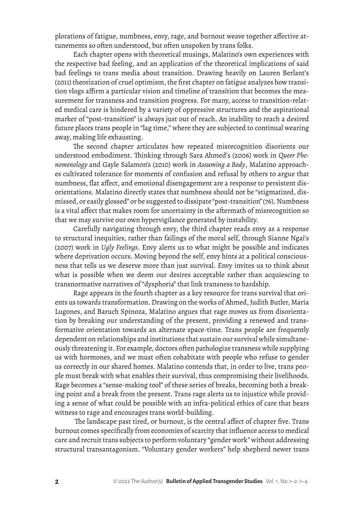plorations of fatigue, numbness, envy, rage, and burnout weave together affective attunements so often understood, but often unspoken by trans folks.

Each chapter opens with theoretical musings, Malatino's own experiences with the respective bad feeling, and an application of the theoretical implications of said bad feelings to trans media about transition. Drawing heavily on Lauren Berlant's (2011) theorization of cruel optimism, the first chapter on fatigue analyzes how transition vlogs affirm a particular vision and timeline of transition that becomes the measurement for transness and transition progress. For many, access to transition-related medical care is hindered by a variety of oppressive structures and the aspirational marker of "post-transition" is always just out of reach. An inability to reach a desired future places trans people in "lag time," where they are subjected to continual wearing away, making life exhausting.

The second chapter articulates how repeated misrecognition disorients our understood embodiment. Thinking through Sara Ahmed's (2006) work in *Queer Phenomenology* and Gayle Salamon's (2010) work in *Assuming a Body*, Malatino approaches cultivated tolerance for moments of confusion and refusal by others to argue that numbness, flat affect, and emotional disengagement are a response to persistent disorientations. Malatino directly states that numbness should not be "stigmatized, dismissed, or easily glossed" or be suggested to dissipate "post-transition" (76). Numbness is a vital affect that makes room for uncertainty in the aftermath of misrecognition so that we may survive our own hypervigilance generated by instability.

Carefully navigating through envy, the third chapter reads envy as a response to structural inequities, rather than failings of the moral self, through Sianne Ngai's (2007) work in *Ugly Feelings*. Envy alerts us to what might be possible and indicates where deprivation occurs. Moving beyond the self, envy hints at a political consciousness that tells us we deserve more than just survival. Envy invites us to think about what is possible when we deem our desires acceptable rather than acquiescing to transnormative narratives of "dysphoria" that link transness to hardship.

Rage appears in the fourth chapter as a key resource for trans survival that orients us towards transformation. Drawing on the works of Ahmed, Judith Butler, María Lugones, and Baruch Spinoza, Malatino argues that rage moves us from disorientation by breaking our understanding of the present, providing a renewed and transformative orientation towards an alternate space-time. Trans people are frequently dependent on relationships and institutions that sustain our survival while simultaneously threatening it. For example, doctors often pathologize transness while supplying us with hormones, and we must often cohabitate with people who refuse to gender us correctly in our shared homes. Malatino contends that, in order to live, trans people must break with what enables their survival, thus compromising their livelihoods. Rage becomes a "sense-making tool" of these series of breaks, becoming both a breaking point and a break from the present. Trans rage alerts us to injustice while providing a sense of what could be possible with an infra-political ethics of care that bears witness to rage and encourages trans world-building.

 The landscape past tired, or burnout, is the central affect of chapter five. Trans burnout comes specifically from economies of scarcity that influence access to medical care and recruit trans subjects to perform voluntary "gender work" without addressing structural transantagonism. "Voluntary gender workers" help shepherd newer trans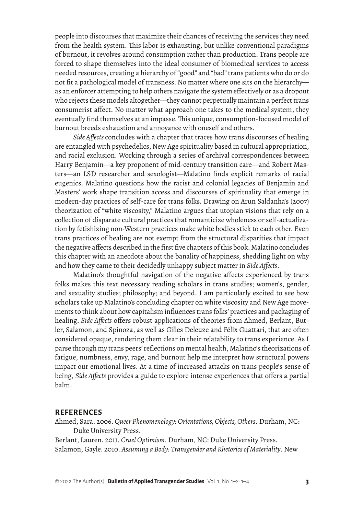people into discourses that maximize their chances of receiving the services they need from the health system. This labor is exhausting, but unlike conventional paradigms of burnout, it revolves around consumption rather than production. Trans people are forced to shape themselves into the ideal consumer of biomedical services to access needed resources, creating a hierarchy of "good" and "bad" trans patients who do or do not fit a pathological model of transness. No matter where one sits on the hierarchy as an enforcer attempting to help others navigate the system effectively or as a dropout who rejects these models altogether—they cannot perpetually maintain a perfect trans consumerist affect. No matter what approach one takes to the medical system, they eventually find themselves at an impasse. This unique, consumption-focused model of burnout breeds exhaustion and annoyance with oneself and others.

*Side Affects* concludes with a chapter that traces how trans discourses of healing are entangled with psychedelics, New Age spirituality based in cultural appropriation, and racial exclusion. Working through a series of archival correspondences between Harry Benjamin—a key proponent of mid-century transition care—and Robert Masters—an LSD researcher and sexologist—Malatino finds explicit remarks of racial eugenics. Malatino questions how the racist and colonial legacies of Benjamin and Masters' work shape transition access and discourses of spirituality that emerge in modern-day practices of self-care for trans folks. Drawing on Arun Saldanha's (2007) theorization of "white viscosity," Malatino argues that utopian visions that rely on a collection of disparate cultural practices that romanticize wholeness or self-actualization by fetishizing non-Western practices make white bodies stick to each other. Even trans practices of healing are not exempt from the structural disparities that impact the negative affects described in the first five chapters of this book. Malatino concludes this chapter with an anecdote about the banality of happiness, shedding light on why and how they came to their decidedly unhappy subject matter in *Side Affects*.

Malatino's thoughtful navigation of the negative affects experienced by trans folks makes this text necessary reading scholars in trans studies; women's, gender, and sexuality studies; philosophy; and beyond. I am particularly excited to see how scholars take up Malatino's concluding chapter on white viscosity and New Age movements to think about how capitalism influences trans folks' practices and packaging of healing. *Side Affects* offers robust applications of theories from Ahmed, Berlant, Butler, Salamon, and Spinoza, as well as Gilles Deleuze and Félix Guattari, that are often considered opaque, rendering them clear in their relatability to trans experience. As I parse through my trans peers' reflections on mental health, Malatino's theorizations of fatigue, numbness, envy, rage, and burnout help me interpret how structural powers impact our emotional lives. At a time of increased attacks on trans people's sense of being, *Side Affects* provides a guide to explore intense experiences that offers a partial balm.

## **REFERENCES**

Ahmed, Sara. 2006. *Queer Phenomenology: Orientations, Objects, Others*. Durham, NC: Duke University Press.

Berlant, Lauren. 2011. *Cruel Optimism*. Durham, NC: Duke University Press. Salamon, Gayle. 2010. *Assuming a Body: Transgender and Rhetorics of Materiality*. New